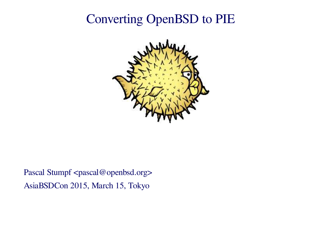# **Converting OpenBSD to PIE**



Pascal Stumpf <pascal@openbsd.org> AsiaBSDCon 2015, March 15, Tokyo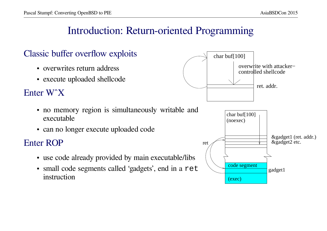### Introduction: Return-oriented Programming

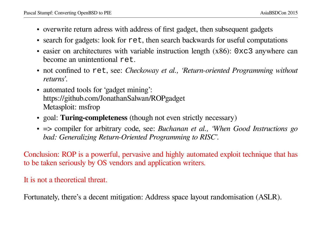- overwrite return adress with address of first gadget, then subsequent gadgets
- search for gadgets: look for  $\texttt{ret}$ , then search backwards for useful computations
- easier on architectures with variable instruction length  $(x86)$ : 0xc3 anywhere can become an unintentional  $r \in \mathbb{R}$ .
- not confined to ret, see: *Checkoway et al., 'Return-oriented Programming without returns'*.
- automated tools for 'gadget mining':<br>https://aithub.com/JonathanSelven/ https://github.com/JonathanSalwan/ROPgadget Metasploit: msfrop
- goal: **Turing-completeness** (though not even strictly necessary)
- $\Rightarrow$  compiler for arbitrary code, see: *Buchanan et al., 'When Good Instructions go*<br>*hade Careguliting Betwee Oriented Preservative to PISC bad: Generalizing Return-Oriented Programming to RISC'.*

Conclusion: ROP is a powerful, pervasive and highly automated exploit technique that has to be taken seriously by OS vendors and application writers.

It is not a theoretical threat.

Fortunately, there's a decent mitigation: Address space layout randomisation (ASLR).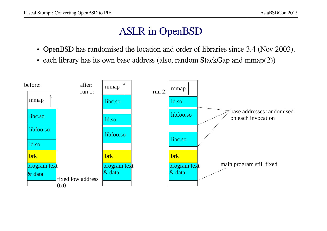# **ASLR** in OpenBSD

- OpenBSD has randomised the location and order of libraries since 3.4 (Nov 2003).
- each library has its own base address (also, random StackGap and  $mmap(2)$ )

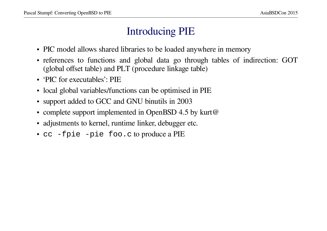### **Introducing PIE**

- PIC model allows shared libraries to be loaded anywhere in memory
- references to functions and global data go through tables of indirection: GOT (global offset table) and PLT (procedure linkage table)
- $\cdot$  'PIC for executables': PIE
- local global variables/functions can be optimised in PIE
- support added to GCC and GNU binutils in 2003
- complete support implemented in OpenBSD 4.5 by kurt@
- adjustments to kernel, runtime linker, debugger etc.
- cc -fpie -pie foo.c to produce a PIE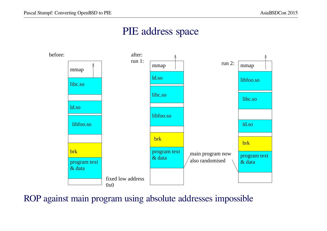### PIE address space



ROP against main program using absolute addresses impossible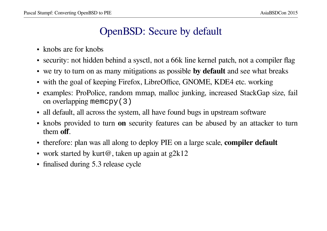### OpenBSD: Secure by default

- knobs are for knobs
- security: not hidden behind a sysctl, not a  $66k$  line kernel patch, not a compiler flag
- we try to turn on as many mitigations as possible **by default** and see what breaks
- with the goal of keeping Firefox, LibreOffice, GNOME, KDE4 etc. working
- examples: ProPolice, random mmap, malloc junking, increased StackGap size, fail on overlapping mem ${\rm cpy}$  ( 3 )
- all default, all across the system, all have found bugs in upstream software
- knobs provided to turn **on** security features can be abused by an attacker to turn them **off**.
- therefore: plan was all along to deploy PIE on a large scale, **compiler default**
- work started by kurt@, taken up again at  $g2k12$
- finalised during 5.3 release cycle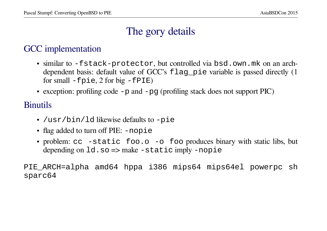# The gory details

### GCC implementation

- similar to -fstack-protector, but controlled via bsd.own.mk on an archdependent basis: default value of GCC's flag pie variable is passed directly (1) for small  $-Fpie$ , 2 for big  $-FPIE$ )
- exception: profiling code  $-p$  and  $-pq$  (profiling stack does not support PIC)

#### **Binutils**

- /usr/bin/ld likewise defaults to -pie
- flag added to turn off PIE: -nopie
- problem:  $cc$  -static foo.o -o foo produces binary with static libs, but depending on  $1d$ . so  $\Rightarrow$  make  $\neg$  static imply  $\neg$  nopie

PIE\_ARCH=alpha amd64 hppa i386 mips64 mips64el powerpc sh sparc64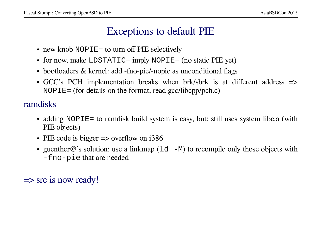### **Exceptions to default PIE**

- new knob NOPIE= to turn off PIE selectively
- for now, make LDSTATIC= imply NOPIE= (no static PIE yet)
- bootloaders & kernel: add -fno-pie/-nopie as unconditional flags
- GCC's PCH implementation breaks when brk/sbrk is at different address => NOPIE= (for details on the format, read  $\text{gcc/libcpp/pch.c}$ )

ramdisks

- adding NOPIE= to ramdisk build system is easy, but: still uses system libc.a (with PIE objects)
- PIE code is bigger  $\Rightarrow$  overflow on i386
- guenther  $\omega$ 's solution: use a linkmap ( $1d$  -M) to recompile only those objects with -fno-pie that are needed

 $\Rightarrow$  src is now ready!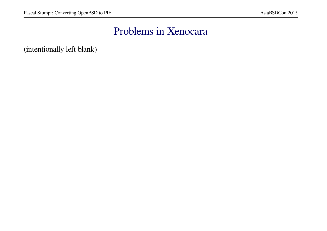### Problems in Xenocara

(intentionally left blank)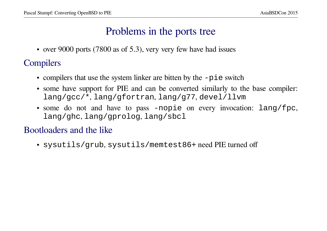### Problems in the ports tree

• over 9000 ports (7800 as of 5.3), very very few have had issues

### Compilers

- compilers that use the system linker are bitten by the  $-pi$  e switch
- some have support for PIE and can be converted similarly to the base compiler:<br> $\frac{1}{2}$ lang/gcc/\*, lang/gfortran, lang/g77, devel/llvm
- some do not and have to pass -nopie on every invocation:  $lang/fpc$ , lang/ghc, lang/gprolog, lang/sbcl

#### Bootlo aders and the like

• sysutils/grub, sysutils/memtest86+ need PIE turned off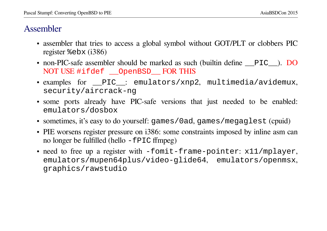#### Assembler

- assembler that tries to access a global symbol without GOT/PLT or clobbers PIC register  $\epsilon$ ebx (i386)
- non-PIC-safe assembler should be marked as such (builtin define \_\_PIC\_). DO NOT USE #ifdef \_\_OpenBSD\_\_ FOR THIS
- examples for \_\_PIC\_\_: emulators/xnp2, multimedia/avidemux, security/aircrack-ng
- some ports already have PIC-safe versions that just needed to be enabled: emulators/dosbox
- sometimes, it's easy to do yourself: games / 0 ad, games / megaglest (cpuid)
- PIE worsens register pressure on i386: some constraints imposed by inline asm can no longer be fulfilled (hello  $-FPIC$  ffmpeg)
- need to free up a register with  $-$ fomit-frame-pointer:  $x11/mplayer$ , emulators/mupen64plus/video-glide64, emulators/openmsx, graphics/rawstudio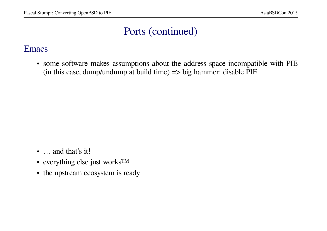# Ports (continued)

#### **Emacs**

• some software makes assumptions about the address space incompatible with PIE (in this case, dump/undump at build time)  $\Rightarrow$  big hammer: disable PIE

- ... and that's it!
- everything else just works<sup>TM</sup>
- the upstream ecosystem is ready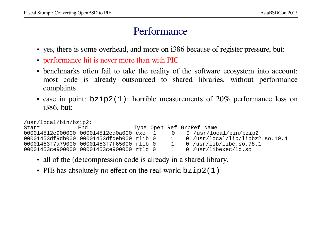### Performance

- yes, there is some overhead, and more on i386 because of register pressure, but:
- performance hit is never more than with PIC
- benchmarks often fail to take the reality of the software ecosystem into account:<br>most each is elready outsourced to shared libraries, without performance most code is already outsourced to shared libraries, without performance complaints
- case in point:  $bzip2(1)$ : horrible measurements of  $20\%$  performance loss on  $20\%$ i386, but:

```
/usr/local/bin/bzip2:
```

| Start | End                                      |  |              | Type Open Ref GrpRef Name         |
|-------|------------------------------------------|--|--------------|-----------------------------------|
|       | 000014512e900000 000014512ed0a000 exe 1  |  |              | 0 0 /usr/local/bin/bzip2          |
|       | 00001453df9db000 00001453dfdeb000 rlib 0 |  | $\sim$ 1     | $0$ /usr/local/lib/libbz2.so.10.4 |
|       | 00001453f7a79000 00001453f7f65000 rlib 0 |  | $\mathbf{1}$ | $0$ /usr/lib/libc.so.78.1         |
|       | 00001453ce900000 00001453ce900000 rtld 0 |  | $\sim$ 1     | $0$ /usr/libexec/ld.so            |
|       |                                          |  |              |                                   |

- all of the (de)compression code is already in a shared library.
- PIE has absolutely no effect on the real-world  $bzip2(1)$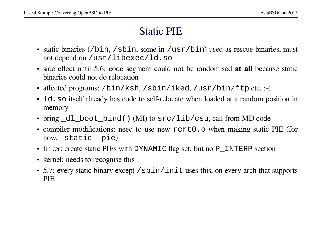### **Static PIE**

- static binaries (/bin, /sbin, some in /usr/bin) used as rescue binaries, must not depend on /usr/libexec/ld.so
- side effect until 5.6: code segment could not be randomised at all because static binaries could not do relocation
- affected programs: /bin/ksh, /sbin/iked, /usr/bin/ftp etc.:-(
- 1d. so itself already has code to self-relocate when loaded at a random position in memory
- bring \_dl\_boot\_bind() (MI) to src/lib/csu, call from MD code
- compiler modifications: need to use new rert0.0 when making static PIE (for now,  $-static$   $-pie$ )
- linker: create static PIEs with DYNAMIC flag set, but no P\_INTERP section
- kernel: needs to recognise this
- 5.7: every static binary except / sbin/init uses this, on every arch that supports **PIE**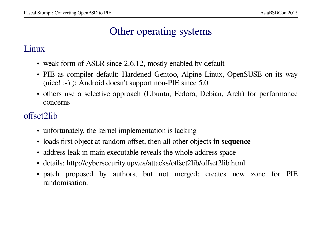### Other operating systems

#### Linux

- weak form of ASLR since 2.6.12, mostly enabled by default
- PIE as compiler default: Hardened Gentoo, Alpine Linux, OpenSUSE on its way (nice! :-) ); Android doesn't support non-PIE since  $5.0$
- others use a selective approach (Ubuntu, Fedora, Debian, Arch) for performance concerns

#### offset2lib

- unfortunately, the kernel implementation is lacking
- loads first object at random offset, then all other objects in sequence
- address leak in main executable reveals the whole address space
- details: http://cybersecurity.upv.es/attacks/offset2lib/offset2lib.html
- patch proposed by authors, but not merged: creates new zone for PIE randomisation.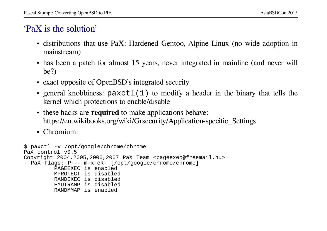#### 'PaX is the solution'

- distributions that use PaX: Hardened Gentoo, Alpine Linux (no wide adoption in mainstream)
- has been a patch for almost 15 years, never integrated in mainline (and never will  $be?)$
- exact opposite of OpenBSD's integrated security
- general knobbiness: paxctl(1) to modify a header in the binary that tells the kernel which protections to enable/disable
- these hacks are required to make applications behave: https://en.wikibooks.org/wiki/Grsecurity/Application-specific\_Settings
- Chromium:

```
$ paxctl -v /opt/google/chrome/chrome
PaX control v0.5
Copyright 2004, 2005, 2006, 2007 PaX Team <pageexec@freemail.hu>
- PaX flags: P----m-x-eR- [/opt/google/chrome/chrome]
         PAGEEXEC is enabled
         MPROTECT is disabled
         RANDEXEC is disabled
         EMUTRAMP is disabled
         RANDMMAP is enabled
```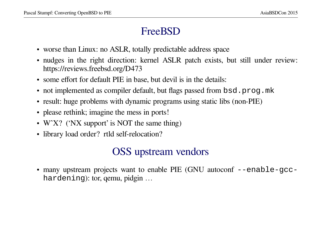# **FreeBSD**

- worse than Linux: no ASLR, totally predictable address space
- nudges in the right direction: kernel ASLR patch exists, but still under review: https://reviews.freebsd.org/D473
- some effort for default PIE in base, but devil is in the details:
- not implemented as compiler default, but flags passed from bsd. prog. mk
- result: huge problems with dynamic programs using static libs (non-PIE)
- please rethink; imagine the mess in ports!
- W^X? ('NX support' is NOT the same thing)
- library load order? rtld self-relocation?

# **OSS** upstream vendors

• many upstream projects want to enable PIE (GNU autoconf --enable-gcchardening): tor, gemu, pidgin ...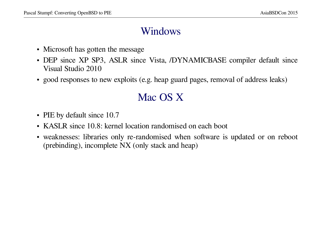### Windows

- Microsoft has gotten the message
- DEP since XP SP3, ASLR since Vista, /DYNAMICBASE compiler default since Vistal Studie 2010 Visual Studio 2010
- good responses to new exploits (e.g. heap guard pages, removal of address leaks)

# Mac OS X

- PIE by default since 10.7
- KASLR since 10.8: kernel location randomised on each boot
- weaknesses: libraries only re-randomised when software is updated or on reboot (prebinding), incomplete  $NX$  (only stack and heap)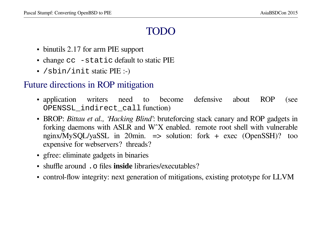# TODC

- binutils 2.17 for arm PIE support
- change cc -static default to static PIE
- $/\sin/\text{init}$  static PIE :-)

#### Future directions in ROP mitigation

- application to become defensive **ROP** writers need about (see OPENSSL\_indirect\_call function)
- BROP: Bittau et al., 'Hacking Blind': bruteforcing stack canary and ROP gadgets in forking daemons with ASLR and W^X enabled. remote root shell with vulnerable nginx/MySQL/yaSSL in 20min. => solution: fork + exec (OpenSSH)? too expensive for webservers? threads?
- gfree: eliminate gadgets in binaries
- $\bullet$  shuffle around .  $\circ$  files **inside** libraries/executables?
- control-flow integrity: next generation of mitigations, existing prototype for LLVM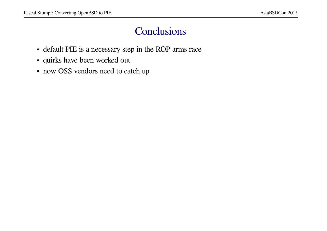### Conclusions

- default PIE is a necessary step in the ROP arms race
- · quirks have been worked out
- now OSS vendors need to catch up